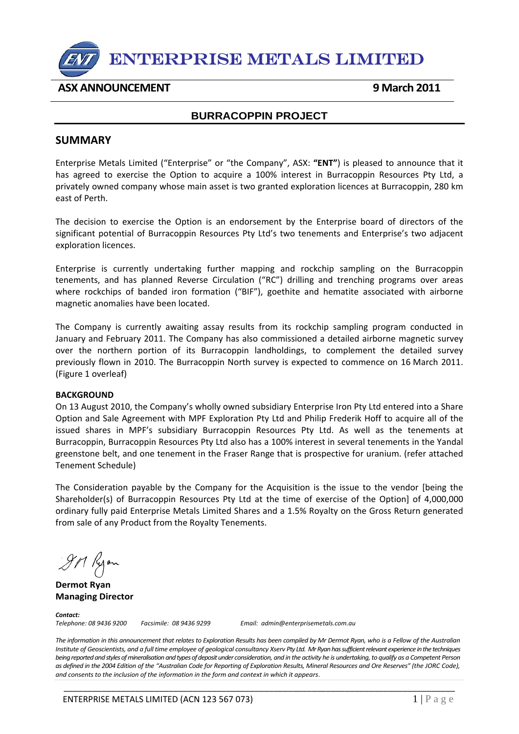

# **ASX ANNOUNCEMENT 9 March 2011**

## **BURRACOPPIN PROJECT**

## **SUMMARY**

Enterprise Metals Limited ("Enterprise" or "the Company", ASX: **"ENT"**) is pleased to announce that it has agreed to exercise the Option to acquire a 100% interest in Burracoppin Resources Pty Ltd, a privately owned company whose main asset is two granted exploration licences at Burracoppin, 280 km east of Perth.

The decision to exercise the Option is an endorsement by the Enterprise board of directors of the significant potential of Burracoppin Resources Pty Ltd's two tenements and Enterprise's two adjacent exploration licences.

Enterprise is currently undertaking further mapping and rockchip sampling on the Burracoppin tenements, and has planned Reverse Circulation ("RC") drilling and trenching programs over areas where rockchips of banded iron formation ("BIF"), goethite and hematite associated with airborne magnetic anomalies have been located.

The Company is currently awaiting assay results from its rockchip sampling program conducted in January and February 2011. The Company has also commissioned a detailed airborne magnetic survey over the northern portion of its Burracoppin landholdings, to complement the detailed survey previously flown in 2010. The Burracoppin North survey is expected to commence on 16 March 2011. (Figure 1 overleaf)

#### **BACKGROUND**

On 13 August 2010, the Company's wholly owned subsidiary Enterprise Iron Pty Ltd entered into a Share Option and Sale Agreement with MPF Exploration Pty Ltd and Philip Frederik Hoff to acquire all of the issued shares in MPF's subsidiary Burracoppin Resources Pty Ltd. As well as the tenements at Burracoppin, Burracoppin Resources Pty Ltd also has a 100% interest in several tenements in the Yandal greenstone belt, and one tenement in the Fraser Range that is prospective for uranium. (refer attached Tenement Schedule)

The Consideration payable by the Company for the Acquisition is the issue to the vendor [being the Shareholder(s) of Burracoppin Resources Pty Ltd at the time of exercise of the Option] of 4,000,000 ordinary fully paid Enterprise Metals Limited Shares and a 1.5% Royalty on the Gross Return generated from sale of any Product from the Royalty Tenements.

IM Ryon

**Dermot Ryan Managing Director**

**Contact:**<br>Telephone: 08 9436 9200

*Telephone: 08 9436 9200 Facsimile: 08 9436 9299 Email: admin@enterprisemetals.com.au*

The information in this announcement that relates to Exploration Results has been compiled by Mr Dermot Ryan, who is a Fellow of the Australian Institute of Geoscientists, and a full time employee of geological consultancy Xserv Pty Ltd. Mr Ryan has sufficient relevant experience in the techniques being reported and styles of mineralisation and types of deposit under consideration, and in the activity he is undertaking, to qualify as a Competent Person as defined in the 2004 Edition of the "Australian Code for Reporting of Exploration Results, Mineral Resources and Ore Reserves" (the JORC Code), *and consents to the inclusion of the information in the form and context in which it appears*.

\_\_\_\_\_\_\_\_\_\_\_\_\_\_\_\_\_\_\_\_\_\_\_\_\_\_\_\_\_\_\_\_\_\_\_\_\_\_\_\_\_\_\_\_\_\_\_\_\_\_\_\_\_\_\_\_\_\_\_\_\_\_\_\_\_\_\_\_\_\_\_\_\_\_\_\_\_\_\_\_\_\_